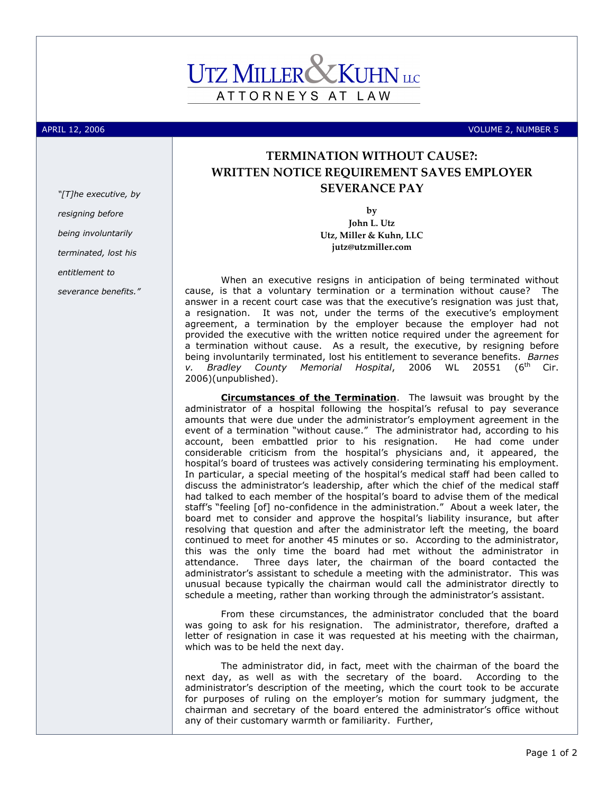

APRIL 12, 2006 VOLUME 2, NUMBER 5

## TERMINATION WITHOUT CAUSE?: WRITTEN NOTICE REQUIREMENT SAVES EMPLOYER SEVERANCE PAY

by

John L. Utz Utz, Miller & Kuhn, LLC jutz@utzmiller.com

When an executive resigns in anticipation of being terminated without cause, is that a voluntary termination or a termination without cause? The answer in a recent court case was that the executive's resignation was just that, a resignation. It was not, under the terms of the executive's employment agreement, a termination by the employer because the employer had not provided the executive with the written notice required under the agreement for a termination without cause. As a result, the executive, by resigning before being involuntarily terminated, lost his entitlement to severance benefits. Barnes<br>v. Bradlev County Memorial Hospital. 2006 WL 20551 (6<sup>th</sup> Cir. v. Bradley County Memorial Hospital, 2006 WL 20551 2006)(unpublished).

Circumstances of the Termination. The lawsuit was brought by the administrator of a hospital following the hospital's refusal to pay severance amounts that were due under the administrator's employment agreement in the event of a termination "without cause." The administrator had, according to his account, been embattled prior to his resignation. He had come under considerable criticism from the hospital's physicians and, it appeared, the hospital's board of trustees was actively considering terminating his employment. In particular, a special meeting of the hospital's medical staff had been called to discuss the administrator's leadership, after which the chief of the medical staff had talked to each member of the hospital's board to advise them of the medical staff's "feeling [of] no-confidence in the administration." About a week later, the board met to consider and approve the hospital's liability insurance, but after resolving that question and after the administrator left the meeting, the board continued to meet for another 45 minutes or so. According to the administrator, this was the only time the board had met without the administrator in attendance. Three days later, the chairman of the board contacted the administrator's assistant to schedule a meeting with the administrator. This was unusual because typically the chairman would call the administrator directly to schedule a meeting, rather than working through the administrator's assistant.

From these circumstances, the administrator concluded that the board was going to ask for his resignation. The administrator, therefore, drafted a letter of resignation in case it was requested at his meeting with the chairman, which was to be held the next day.

The administrator did, in fact, meet with the chairman of the board the next day, as well as with the secretary of the board. According to the administrator's description of the meeting, which the court took to be accurate for purposes of ruling on the employer's motion for summary judgment, the chairman and secretary of the board entered the administrator's office without any of their customary warmth or familiarity. Further,

"[T]he executive, by resigning before

being involuntarily

terminated, lost his

entitlement to

severance benefits."